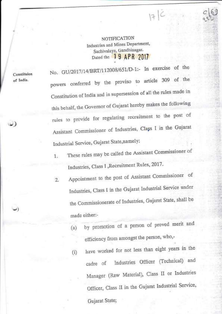NOTIFiCATION Industries and Mines Department, Sachivalaya, Gandhinagar. Dated the 19 APR 2017

 $17C$ 

Constituion of India.

.\_)

 $\omega)$ 

No. GU/2017/14/BRT/112008/651/D-1:- In exercise of the powers conferred by the proviso to article 309 of the Constitution of India and in supersession of all the rules made in this behalf, the Governor of Gujarat hereby makes the following rules to provide for regulating recruitment to the post of Assistant Commissioner of Industries, Class I in the Gujarat Industrial Service, Gujarat State, namely:

- 1. These rules may be called the Assistant Commissioner of Industries, Class I ,Recruitment Rules, 2017.
- 2. Appointment to the post of Assistant Commissioner of Industries, Class I in the Gujarat Industrial Service under the Commissionerate of Industries, Gujarat State, shall be : made either:-
	- (a) by promotion of a person of proved merit and efficiency from amongst the person, who,-
	- (i) have worked for not less than eight years in the cadre of Industries Officer (Technical) and Manager (Raw Material), Ciass II or Industries Officer, Class II in the Gujarat Industrial Service, Gujarat State;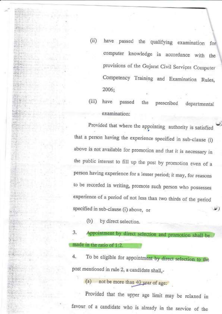(ii) have passed the qualifying examination fo computer knowledge in accordance with the provisions of the Gujarat Civil Services Computer Competency Training and Examination Rules, 2006;

(ii| have passed examination: the prescribed departmental

Provided that where the appointing authority is satisfied that a person having the experience specified in sub-clause (i) above is not availabie for promotion and that it is necessary in the public interest to fill up the post by promotion even of a person having experience for a lesser period; it may, for reasons to be recorded in writing, promote such person who possesses experience of a period of not less than two thirds of the period specified in sub-clause (i) above, or

(b) by direct selection.

a J.Appointment by direct selection and promotion shall be made in the ratio of 1:2.

4. To be eligible for appointment by direct selection to the post mentioned in rule Z, a candidate shall,-

(a) not be more than  $40$  year of age:

Provided that the upper age 1imit may be relaxed in favour of a candidate who is already in the service of the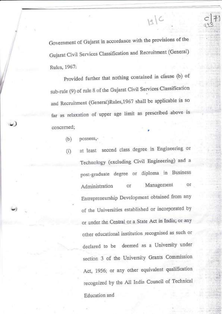Government of Gujarat in accordance with the provisions of the Gujarat civil Services classification and Recruitment (General) Rulcs, 1967.

 $|g|C$ 

Provided further that nothing contained in clause (b) of sub-rule (9) of rule 8 of the Gujarat Civil Services Classification and Recruitment (General)Rules,1967 shall be applicable in so far as relaxation of upper age limit as prescribed above is concerned; ,

(b) possess,-

 $\cup$ 

-)

(') at least second class degree in Engineering or Technology (excluding Civil Engineering) and <sup>a</sup> post-graduate degree or diploma in Business Administration or Management Entrepreneurship Development obtained from any of the Universities established or incorporated by or under the centrai or a state Act in India; or any other educational institution recognised as such or declared to be deemed as a University under section 3 of the University Grants Commission Act, 1956; or any other equivalent qualification recognized by the A11 India Council of Technical Education and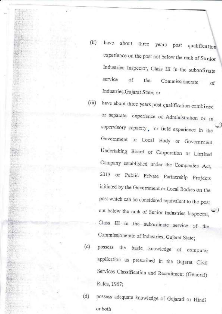- have about three  $(ii)$ years post qualification experience on the post not below the rank of Senior Industries Inspector, Class III in the subordinate service of Commissionerate the οf Industries, Gujarat State; or
- have about three years post qualification combined  $(iii)$ or separate experience of Administration or in supervisory capacity, or field experience in the Government or Local Body or Government Undertaking Board or Corporation or Limited Company established under the Companies Act, 2013 or Public Private Partnership Projects initiated by the Government or Local Bodies on the post which can be considered equivalent to the post not below the rank of Senior Industries Inspector, Class III in the subordinate service of the Commissionerate of Industries, Gujarat State;
- possess the  $(c)$ basic knowledge of computer application as prescribed in the Gujarat Civil Services Classification and Recruitment (General) Rules, 1967;
- possess adequate knowledge of Gujarati or Hindi  $(d)$ or both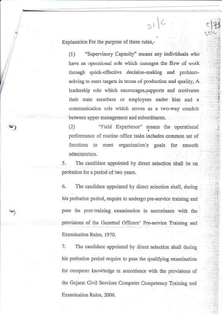Explanation For the purpose of these rules,-

"Supervisory Capacity" means any individuals who  $(1)$ have an operational role which manages the flow of work through quick-effective decision-making and problemsolving to meet targets in terms of production and quality, A leadership role which encourages, supports and motivates their team members or employees under him and a communication role which serves as a two-way conduit between upper management and subordinates.

 $51C$ 

"Field Experience" means the operational  $(2)$ performance of routine office tasks includes common set of functions to meet organization's goals for smooth administrtion.

5. The candidate appointed by direct selection shall be on probation for a period of two years.

6. The candidate appointed by direct selection shall, during his probation period, require to undergo pre-service training and pass the post-training examination in accordance with the provisions of the Gazetted Officers' Pre-service Training and Examination Rules, 1970.

The candidate appointed by direct selection shall during 7. his probation period require to pass the qualifying examination for computer knowledge in accordance with the provisions of the Gujarat Civil Services Computer Competency Training and Examination Rules, 2006.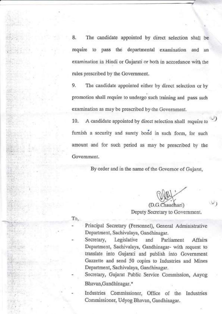8. The candidate appointed by direct selection shall be require to pass the departmental examination and an examination in Hindi or Gujarati or both in accordance with the ruies prescribed by the Government.

9. The candidate appointed either by direct selection or by promotion shall require to undergo such training and pass such examination as may be prescribed by.the Government.

10. A candidate appointed by direct selection shall require to furnish a security and surety bond in such form, for such amount and for such period as may be prescribed by the Government.

By order and in the name of the Governor of Gujarat,

Deputy Secretary to Government. (D.G.Chaudhari)

To,

'.'.:'

Principal Secretary (Personnel), General Administrative Department, Sachivalaya, Gandhinagar.

Secretary, Legislative and Parliament Affairs Department, Sachivalaya, Gandhinagar- with request to translate into Gujarati and publish into Government Gazzette and send 50 copies to Industries and Mines Department, Sachivalaya, Gandhinagar.

Secretary, Gujarat Public Service Commission, Aayog Bhavan,Gandhinagar.\*

Industries Commissioner, Office of the Industries Commissioner, Udyog Bhavan, Gandhinagar.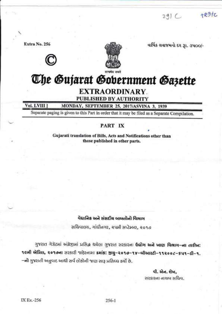$291C$ 

 $+231c$ 

Extra No. 256



વાર્ષિક લવાજમનો દર ૩ા. ૩૫૦૦/-

# The Gujarat Gobernment Gazette

### **EXTRAORDINARY. PUBLISHED BY AUTHORITY**

#### Vol. LVIII ] MONDAY, SEPTEMBER 25, 2017/ASVINA 3, 1939

Separate paging is given to this Part in order that it may be filed as a Separate Compilation.

### PART IX

Gujarati translation of Bills, Acts and Notifications other than those published in other parts.

#### વૈદ્યાનિક અને સંસદીય બાબતોનો વિભાગ

સચિવાલય, ગાંધીનગર, રૂપમી સપ્ટેમ્બર, ૨૦૧૭

ગુજરાત ગેઝેટમાં અંગ્રેજીમાં પ્રસિદ્ધ થયેલા ગુજરાત સરકારના **ઉદ્યોગ અને ખાણ વિભાગ-ના તારીખ:** 16મી એપ્રિલ, ૨૦૧૭ના સરકારી જાહેરનામા ક્રમાંક: જીચુ-૨૦૧૭-૧૪-બીઆરટી-૧૧૨૦૦૮-૬૫૧-ડી-૧. –નો ગુજરાતી અનુવાદ આથી સર્વ લોકોની જાણ સારૂ પ્રસિધ્ધ કર્યો છે.

> વી. એન. શેખ. સરકારના નાયબ સચિવ.

 $256 - 1$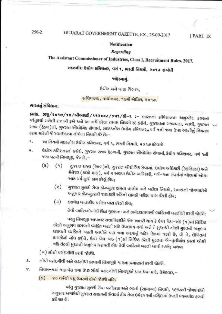#### 256-2

## GUJARAT GOVERNMENT GAZETTE, EX., 25-09-2017

[PART IX

#### **Notification**

#### **Regarding**

## The Assistant Commissioner of Industries, Class I, Recruitment Rules, 2017.

## મદદનીશ ઉદ્યોગ કમિશનર, વર્ગ ૧, ભરતી નિયમો, ૨૦૧૭ સંબંધી

#### જાહેરનામં.

ઉદ્યોગ અને ખાણ વિભાગ.

## सयिपालय, गांधीनगर, १૯मी नेप्रिल, २०१७.

#### ભારતનું સંવિદ્યાન.

sais. 9g/2010/18/6 Pared/112006/541/6-1 :- MRdoll Highlandi Mag2BE 30Gall પરંતુકથી મળેલી સત્તાની રૂએ અને આ અર્થે કરેલા તમામ નિયમો રદ કરીને, ગુજરાતના રાજ્યપાલ, આથી, ગુજરાત રાજ્ય (હેઠળ)ની, ગુજરાત એીધોગિક સેવામાં, મદદદનીશ ઉદ્યોગ કમિશનર, વર્ગ ૧ની જગા ઉપર ભરતીનું નિચમન કરવા માટેની જોગવાઈ કરવા નીચેના નિયમો કરે છે:—

- આ નિયમો મદદનીશ ઉદ્યોગ કમિશનર, વર્ગ ૧, ભરતી નિયમો, ૨૦૧૭ કઠેવાશે. 9.
- ઉંઘોગ કમિશનરની કરોરી, ગુજરાત રાજ્ય હેઠળની, ગુજરાત ઍોધોગિક સેવામાં,ઉંઘોગ કમિશનર, વર્ગ ૧ની ₹. જગા પરની નિમણૂક, જેમણે,-
	- $(s)$  $(9)$ ગુજરાત રાજ્ય (હેઠળ)ની, ગુજરાત ઐંધોગિક સેવામાં, ઉદ્યોગ અધિકારી (ટેકનિકલ) અને મેનેજર (કાચો માલ), વર્ગ ર અથવા ઉદ્યોગ અધિકારી, વર્ગ—રના સંવર્ગમાં ઓછામાં ઓછા આઠ વર્ષ સુદ્દી કામ કરેલું હોય;
		- ગુજરાત મુલકી સેવા કોમ્પ્યુટર ક્ષમતા તાલીમ અને પરીક્ષા નિયમો, ૨૦૦૬ની જોગવાઈઓ  $(3)$ અનુસાર કોમ્પ્યુટરની જાણકારી અંગેની લાયકી પરીક્ષા પાસ કરેલી હોય;
		- ઠરાવેલ ખાતાકીય પરીક્ષા પાસ કરેલી હોય;  $\left(3\right)$

તેવી વ્યક્તિઓમાંથી સિદ્ધ ગુણવત્તા અને કાર્યદક્ષતાવાળી વ્યક્તિની બઢતીથી કરવી જોઈશે:

પરંતુ નિમણૂક આપનાર સત્તાધિકારીને એમ ખાતરી થાય કે ઉપર પૅટા–ખંડ (૧)માં નિર્દિષ્ટ કરેલો અનુભવ ઘરાવતી વ્યક્તિ બઢતી માટે ઉપલભ્ય નથી અને તે મુદતથી ઓછી મુદતનો અનુભવ ધરાવતી વ્યક્તિને બઢતી આપીને પણ જગા ભરવાનું જાહેર હિતમાં જરૂરી છે, તો તે, લેખિતમાં કારણોની નોંધ કરીને, ઉપર પેટા-ખંડ (૧)માં નિર્દિષ્ટ કરેલી મુદતના બે-તૃતીયાંશ કરતાં ઓછી નહિ તેટલી મુદતનો અનુભવ ઘરાવતી હોય તેવી વ્યક્તિને બઢતી આપી શકશે; અથવા

(ખ) સીધી પસંદગીથી કરવી જોઈશે.

- સીધી પસંદગીથી અને બઢતીથી કરવાની નિમણૂકો ૧:૨ના પ્રમાણમાં કરવી જોઈશે. 3.
- નિયમ–રમાં જણાવેલ જગા ઉપર સીધી પસંદગીથી નિમણૂકને પાત્ર થવા માટે, ઉમેદવાર,– v.
	- (5) ४० पर्षथी पद्यु ઉमरनो होपो श्रेत्तरी नहिः

પરંતુ ગુજરાત મુલકી સેવા વર્ગીકરણ અને ભરતી (સામાન્ય) નિયમો, ૧૯૬૭ની જોગવાઈઓ અનુસાર અગાઉથી ગુજરાત સરકારની સેવામાં દોય તેવા ઉમેદવારની તરફેણમાં ઉપલી વયમર્થાદા હળવી કરી શકાશે: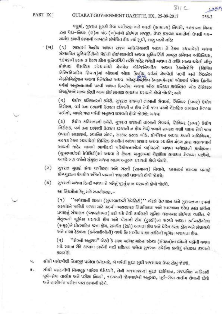## GUJARAT GOVERNMENT GAZETTE, EX., 25-09-2017

વધુમાં, ગુજરાત મુલકી સેવા વર્ગીકરણ અને ભરતી (સામાન્ય) નિયમો, ૧૯૬૭ના નિયમ ८०११ पेटा-नियम (७)ना ખंડ (ખ)मांनो डोઇपણ मश्रृङ्खर, ઉપર ઠરाવ્યા પ્રમાણેની ઉપલી વચ-મર્યાદા હળવી કરવાની બાબતને સંબંધિત હોય ત્યાં સુધી, લાગુ પડશે નહિ:

 $(w)$ ભારતમાં કેન્દ્રીય અથવા રાજય અધિનિયમથી અથવા તે ઠેઠળ સ્થપાચેલી અથવા  $(9)$ સંસ્થાપિત ચુનિવર્સિટીઓ પૈકીની કોઈપણમાંથી અથવા ચુનિવર્સિટી ગ્રાન્ટ્સ કમિશન અધિનિયમ, ૧૯૫૬ની કલમ ૩ હેઠળ ડીમ્ડ યુનિવર્સિટી તરીકે જાહેર થયેલી અથવા તે તરીકે માન્ય થયેલી બીજી કોઈપણ શૈક્ષણિક સંસ્થામાંથી મેળવેલ એન્જિનિઅરિંગ અથવા ટેકનોલોજિ (સિવિલ એન્જિનિઅરિંગ સિવાય)માં ઓછામાં ઓછા જિતુણિ, વર્ગમાં મેળવેલી પદવી અને બિઝનેસ એડમિનિસ્ટ્રેશન અથવા મેનેજમેન્ટ અથવા ઑન્ટ્રપ્રમરશિપ ડેવલપમેન્ટમાં ઓછામાં ઓછા ફિલીય વર્ગમાં અનુસ્નાતકની પદવી અથવા ડિપ્લોમા અથવા ઓલ ઈન્ડિયા કાઉન્સિલ ઓફ ટેકિનકલ એજ્યુકેશને માન્ય કરેલી અન્ય કોઈ સમકક્ષ લાયકાત ઘરાવતો હોવો જોઈશે; અને

ઉદ્યોગ કમિશનરની કચેરી, ગુજરાત રાજ્યની તાબાની સેવામાં, સિનિયર (પ્રવર) ઉદ્યોગ  $(2)$ નિરીક્ષક, વર્ગ ૩ના દરગ્ર્દાથી ઉતરતા દર્રજ્ઞાની ન હોય તેવી જગા પરનો શૈક્ષણિક લાયકાત મેળવ્યા પછીનો, આશરે ત્રણ વર્ષનો અનુભવ ઘરાવતો હોવો જોઈશે; અથવા

ઉદ્યોગ કમિશનરની કચેરી, ગુજરાત રાજ્યની તાબાની સેવામાં, સિનિયર (પ્રવર) ઉદ્યોગ  $(3)$ નિરીક્ષક, વર્ગ 3ના દરગ્ર્યાથી ઉતરતા દરગ્ર્યાની ન કોચ તેવી જગાને સમકશ ગણી શકાચ તેવી જગા ઉપરનો સરકારમાં, સ્થાનિક મંડળ, સરકાર હસ્તક બોર્ડ, કોર્પોરેશન અથવા કંપની અધિનિયમ, ૨૦૧૩ ઠેઠળ સ્થપાયેલી લિમિટેડ કંપનીમાં અથવા સરકાર અથવા સ્થાનિક મંડળ હારા ચલાવવામાં આવતી જાહેર ખાનગી ભાગીદારી પરિચોજનાઓમાં વહીવટનો અથવા અવેશકની કાર્યક્ષમતા (સુપરવાઈઝરી કેપેસિટી)માં અથવા તે ક્ષેત્રના અનુભવમાં શૈક્ષણિક લાયકાત મેળવ્યા પછીનો, આશરે ત્રણ વર્ષનો સંયુક્ત અથવા અલગ અનુભવ ઘરાવતો હોવો જોઈશે.

- ગુજરાત મુલકી સેવા વર્ગીકરણ અને ભરતી (સામાન્ય) નિયમો, ૧૯૬૭માં ઠરાવ્યા પ્રમાણે  $(5)$ કોમ્પ્યુટરના ઉપયોગ અંગેની પાયાની જાણકારી ધરાવતો હોવો જોઈશે;
- ગુજરાતી અથવા દિન્દી અથવા તે બન્નેનું પૂરતું જ્ઞાન ધરાવતો હોવો જોઈશે.  $(\mathbf{u})$

આ નિયમોના દેતુ માટે સ્પષ્ટીકરણ,—

(१) "અવેક્ષકની ક્ષમતા (સુપરવાઈઝરી કેપેસિટી)" એટલે ઉત્પાદન અને ગુણવત્તાના રૂપમાં લશ્યાંકને પહોંચી વળવા માટે ઝડપી–અસરકારક નિર્ણાયકતા અને સમસ્યાના ઉકેલ ક્રારા કાર્યના પ્રવાહનું સંચાલન (વ્યવસ્થાપન) કરી શકે તેવી કાર્યલક્ષી ભૂમિકા ઘરાવનાર કોઈપણ વ્યકિત. જે નેતૃત્વની ભૂમિકા ઘરાવતો હોય અને પોતાની ટીમ (ટુકડી)ના સભ્યો અથવા કર્મચારીઓના (સમૂહ)ને પ્રોત્સાહિત કરતા હોય, સમર્થન (ટેકો) આપતા હોય અને પ્રેરિત કરતા હોય અને સંચાલકો અને તાબા હેઠળના (કર્મચારીઓની) વચ્ચે દ્વિ માર્ગીય વાદક તરીકેની ભૂમિકા બજાવતા હોય.

''ક્ષેત્રનો અનુભવ'' એટલે કે સરળ વઈવટ માટેના સંસ્થા (સંગઠન)ના દચેચને પહોંચી વળવા  $\left( 2 \right)$ માટે સમાન રીતે કરવાના કાર્યોની ચાદી સહિતના રાબેતા મુજબના કચેરીના કાર્યોનું સંચાલન કરવાની  $supp(x)$ .

સીધી પસંદગીથી નિમણૂક પામેલા ઉમેદવારે, બે વર્ષની મુદત સુધી અજમાચશ ઉપર રહેવું જોઈશે. ч.

સીધી પસંદગીથી નિમણૂફ પામેલા ઉંમેદવારે, તેની અજમાયશની મુદત દરમિયાન, રાજપત્રિત અધિકારી  $5.$ પૂર્વ–સેવા તાલીમ અને પરીક્ષા નિયમો, ૧૯૭૦ની જોગવાઈઓ અનુસાર, પૂર્વ–સેવા તાલીમ લેવાની રહેશે અને તાલીમાંત પરીક્ષા પાસ કરવાની રહેશે.

 $125f$ 256-3

 $311C$